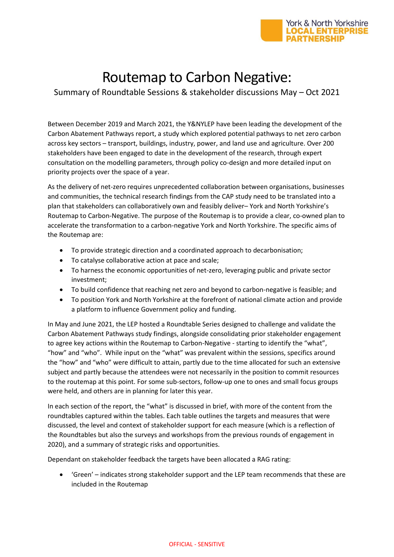

## Routemap to Carbon Negative:

Summary of Roundtable Sessions & stakeholder discussions May – Oct 2021

Between December 2019 and March 2021, the Y&NYLEP have been leading the development of the Carbon Abatement Pathways report, a study which explored potential pathways to net zero carbon across key sectors – transport, buildings, industry, power, and land use and agriculture. Over 200 stakeholders have been engaged to date in the development of the research, through expert consultation on the modelling parameters, through policy co-design and more detailed input on priority projects over the space of a year.

As the delivery of net-zero requires unprecedented collaboration between organisations, businesses and communities, the technical research findings from the CAP study need to be translated into a plan that stakeholders can collaboratively own and feasibly deliver– York and North Yorkshire's Routemap to Carbon-Negative. The purpose of the Routemap is to provide a clear, co-owned plan to accelerate the transformation to a carbon-negative York and North Yorkshire. The specific aims of the Routemap are:

- To provide strategic direction and a coordinated approach to decarbonisation;
- To catalyse collaborative action at pace and scale;
- To harness the economic opportunities of net-zero, leveraging public and private sector investment;
- To build confidence that reaching net zero and beyond to carbon-negative is feasible; and
- To position York and North Yorkshire at the forefront of national climate action and provide a platform to influence Government policy and funding.

In May and June 2021, the LEP hosted a Roundtable Series designed to challenge and validate the Carbon Abatement Pathways study findings, alongside consolidating prior stakeholder engagement to agree key actions within the Routemap to Carbon-Negative - starting to identify the "what", "how" and "who". While input on the "what" was prevalent within the sessions, specifics around the "how" and "who" were difficult to attain, partly due to the time allocated for such an extensive subject and partly because the attendees were not necessarily in the position to commit resources to the routemap at this point. For some sub-sectors, follow-up one to ones and small focus groups were held, and others are in planning for later this year.

In each section of the report, the "what" is discussed in brief, with more of the content from the roundtables captured within the tables. Each table outlines the targets and measures that were discussed, the level and context of stakeholder support for each measure (which is a reflection of the Roundtables but also the surveys and workshops from the previous rounds of engagement in 2020), and a summary of strategic risks and opportunities.

Dependant on stakeholder feedback the targets have been allocated a RAG rating:

 'Green' – indicates strong stakeholder support and the LEP team recommends that these are included in the Routemap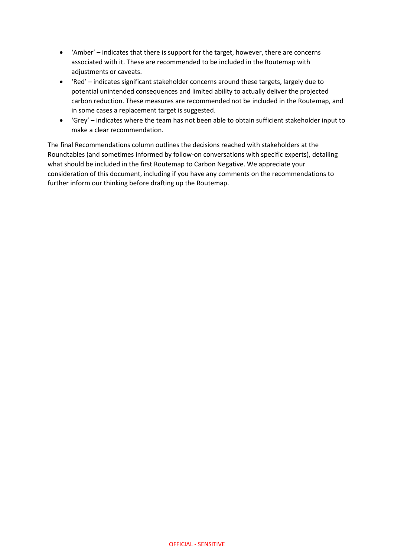- 'Amber' indicates that there is support for the target, however, there are concerns associated with it. These are recommended to be included in the Routemap with adiustments or caveats.
- 'Red' indicates significant stakeholder concerns around these targets, largely due to potential unintended consequences and limited ability to actually deliver the projected carbon reduction. These measures are recommended not be included in the Routemap, and in some cases a replacement target is suggested.
- 'Grey' indicates where the team has not been able to obtain sufficient stakeholder input to make a clear recommendation.

The final Recommendations column outlines the decisions reached with stakeholders at the Roundtables (and sometimes informed by follow-on conversations with specific experts), detailing what should be included in the first Routemap to Carbon Negative. We appreciate your consideration of this document, including if you have any comments on the recommendations to further inform our thinking before drafting up the Routemap.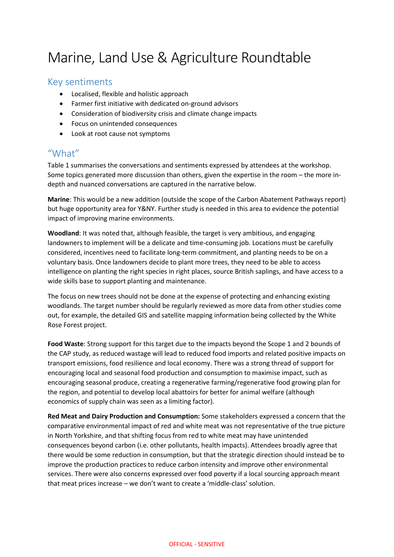## Marine, Land Use & Agriculture Roundtable

#### Key sentiments

- Localised, flexible and holistic approach
- Farmer first initiative with dedicated on-ground advisors
- Consideration of biodiversity crisis and climate change impacts
- Focus on unintended consequences
- Look at root cause not symptoms

#### "What"

Table 1 summarises the conversations and sentiments expressed by attendees at the workshop. Some topics generated more discussion than others, given the expertise in the room – the more indepth and nuanced conversations are captured in the narrative below.

**Marine**: This would be a new addition (outside the scope of the Carbon Abatement Pathways report) but huge opportunity area for Y&NY. Further study is needed in this area to evidence the potential impact of improving marine environments.

**Woodland**: It was noted that, although feasible, the target is very ambitious, and engaging landowners to implement will be a delicate and time-consuming job. Locations must be carefully considered, incentives need to facilitate long-term commitment, and planting needs to be on a voluntary basis. Once landowners decide to plant more trees, they need to be able to access intelligence on planting the right species in right places, source British saplings, and have access to a wide skills base to support planting and maintenance.

The focus on new trees should not be done at the expense of protecting and enhancing existing woodlands. The target number should be regularly reviewed as more data from other studies come out, for example, the detailed GIS and satellite mapping information being collected by the White Rose Forest project.

**Food Waste**: Strong support for this target due to the impacts beyond the Scope 1 and 2 bounds of the CAP study, as reduced wastage will lead to reduced food imports and related positive impacts on transport emissions, food resilience and local economy. There was a strong thread of support for encouraging local and seasonal food production and consumption to maximise impact, such as encouraging seasonal produce, creating a regenerative farming/regenerative food growing plan for the region, and potential to develop local abattoirs for better for animal welfare (although economics of supply chain was seen as a limiting factor).

**Red Meat and Dairy Production and Consumption:** Some stakeholders expressed a concern that the comparative environmental impact of red and white meat was not representative of the true picture in North Yorkshire, and that shifting focus from red to white meat may have unintended consequences beyond carbon (i.e. other pollutants, health impacts). Attendees broadly agree that there would be some reduction in consumption, but that the strategic direction should instead be to improve the production practices to reduce carbon intensity and improve other environmental services. There were also concerns expressed over food poverty if a local sourcing approach meant that meat prices increase – we don't want to create a 'middle-class' solution.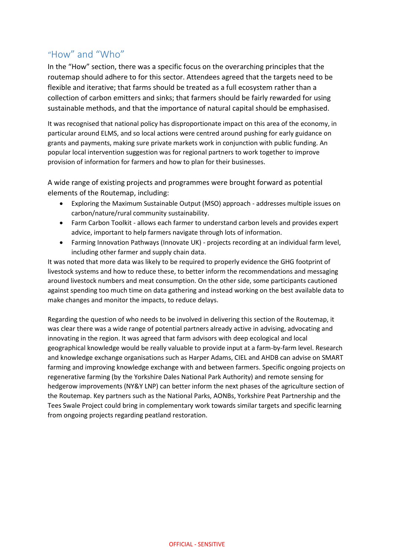### "How" and "Who"

In the "How" section, there was a specific focus on the overarching principles that the routemap should adhere to for this sector. Attendees agreed that the targets need to be flexible and iterative; that farms should be treated as a full ecosystem rather than a collection of carbon emitters and sinks; that farmers should be fairly rewarded for using sustainable methods, and that the importance of natural capital should be emphasised.

It was recognised that national policy has disproportionate impact on this area of the economy, in particular around ELMS, and so local actions were centred around pushing for early guidance on grants and payments, making sure private markets work in conjunction with public funding. An popular local intervention suggestion was for regional partners to work together to improve provision of information for farmers and how to plan for their businesses.

A wide range of existing projects and programmes were brought forward as potential elements of the Routemap, including:

- Exploring the Maximum Sustainable Output (MSO) approach addresses multiple issues on carbon/nature/rural community sustainability.
- Farm Carbon Toolkit allows each farmer to understand carbon levels and provides expert advice, important to help farmers navigate through lots of information.
- Farming Innovation Pathways (Innovate UK) projects recording at an individual farm level, including other farmer and supply chain data.

It was noted that more data was likely to be required to properly evidence the GHG footprint of livestock systems and how to reduce these, to better inform the recommendations and messaging around livestock numbers and meat consumption. On the other side, some participants cautioned against spending too much time on data gathering and instead working on the best available data to make changes and monitor the impacts, to reduce delays.

Regarding the question of who needs to be involved in delivering this section of the Routemap, it was clear there was a wide range of potential partners already active in advising, advocating and innovating in the region. It was agreed that farm advisors with deep ecological and local geographical knowledge would be really valuable to provide input at a farm-by-farm level. Research and knowledge exchange organisations such as Harper Adams, CIEL and AHDB can advise on SMART farming and improving knowledge exchange with and between farmers. Specific ongoing projects on regenerative farming (by the Yorkshire Dales National Park Authority) and remote sensing for hedgerow improvements (NY&Y LNP) can better inform the next phases of the agriculture section of the Routemap. Key partners such as the National Parks, AONBs, Yorkshire Peat Partnership and the Tees Swale Project could bring in complementary work towards similar targets and specific learning from ongoing projects regarding peatland restoration.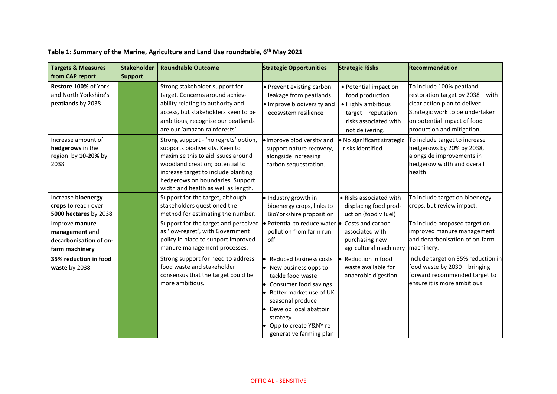| Table 1: Summary of the Marine, Agriculture and Land Use roundtable, 6 <sup>th</sup> May 2021 |  |  |
|-----------------------------------------------------------------------------------------------|--|--|
|-----------------------------------------------------------------------------------------------|--|--|

| <b>Targets &amp; Measures</b><br>from CAP report                             | <b>Stakeholder</b><br><b>Support</b> | <b>Roundtable Outcome</b>                                                                                                                                                                                                                                          | <b>Strategic Opportunities</b>                                                                                                                                                                                                           | <b>Strategic Risks</b>                                                                                                            | Recommendation                                                                                                                                                                                 |
|------------------------------------------------------------------------------|--------------------------------------|--------------------------------------------------------------------------------------------------------------------------------------------------------------------------------------------------------------------------------------------------------------------|------------------------------------------------------------------------------------------------------------------------------------------------------------------------------------------------------------------------------------------|-----------------------------------------------------------------------------------------------------------------------------------|------------------------------------------------------------------------------------------------------------------------------------------------------------------------------------------------|
| Restore 100% of York<br>and North Yorkshire's<br>peatlands by 2038           |                                      | Strong stakeholder support for<br>target. Concerns around achiev-<br>ability relating to authority and<br>access, but stakeholders keen to be<br>ambitious, recognise our peatlands<br>are our 'amazon rainforests'.                                               | • Prevent existing carbon<br>leakage from peatlands<br>. Improve biodiversity and<br>ecosystem resilience                                                                                                                                | • Potential impact on<br>food production<br>• Highly ambitious<br>target - reputation<br>risks associated with<br>not delivering. | To include 100% peatland<br>restoration target by 2038 - with<br>clear action plan to deliver.<br>Strategic work to be undertaken<br>on potential impact of food<br>production and mitigation. |
| Increase amount of<br>hedgerows in the<br>region by 10-20% by<br>2038        |                                      | Strong support - 'no regrets' option,<br>supports biodiversity. Keen to<br>maximise this to aid issues around<br>woodland creation; potential to<br>increase target to include planting<br>hedgerows on boundaries. Support<br>width and health as well as length. | · Improve biodiversity and<br>support nature recovery,<br>alongside increasing<br>carbon sequestration.                                                                                                                                  | · No significant strategic<br>risks identified.                                                                                   | To include target to increase<br>hedgerows by 20% by 2038,<br>alongside improvements in<br>hedgerow width and overall<br>health.                                                               |
| Increase bioenergy<br>crops to reach over<br>5000 hectares by 2038           |                                      | Support for the target, although<br>stakeholders questioned the<br>method for estimating the number.                                                                                                                                                               | · Industry growth in<br>bioenergy crops, links to<br>BioYorkshire proposition                                                                                                                                                            | • Risks associated with<br>displacing food prod-<br>uction (food v fuel)                                                          | To include target on bioenergy<br>crops, but review impact.                                                                                                                                    |
| Improve manure<br>management and<br>decarbonisation of on-<br>farm machinery |                                      | Support for the target and perceived<br>as 'low-regret', with Government<br>policy in place to support improved<br>manure management processes.                                                                                                                    | · Potential to reduce water<br>pollution from farm run-<br>off                                                                                                                                                                           | Costs and carbon<br>associated with<br>purchasing new<br>agricultural machinery                                                   | To include proposed target on<br>improved manure management<br>and decarbonisation of on-farm<br>machinery.                                                                                    |
| 35% reduction in food<br>waste by 2038                                       |                                      | Strong support for need to address<br>food waste and stakeholder<br>consensus that the target could be<br>more ambitious.                                                                                                                                          | Reduced business costs<br>• New business opps to<br>tackle food waste<br>Consumer food savings<br>Better market use of UK<br>seasonal produce<br>Develop local abattoir<br>strategy<br>Opp to create Y&NY re-<br>generative farming plan | Reduction in food<br>waste available for<br>anaerobic digestion                                                                   | Include target on 35% reduction in<br>food waste by 2030 - bringing<br>forward recommended target to<br>ensure it is more ambitious.                                                           |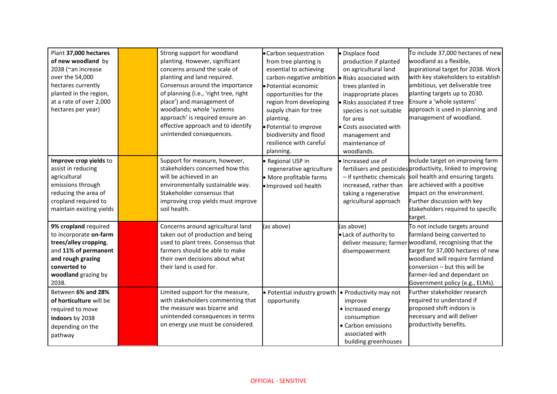| Plant 37,000 hectares<br>of new woodland by<br>2038 (~an increase<br>over the 54,000<br>hectares currently<br>planted in the region,<br>at a rate of over 2,000<br>hectares per year) | Strong support for woodland<br>planting. However, significant<br>concerns around the scale of<br>planting and land required.<br>Consensus around the importance<br>of planning (i.e., 'right tree, right<br>place') and management of<br>woodlands; whole 'systems<br>approach' is required ensure an<br>effective approach and to identify<br>unintended consequences. | • Carbon sequestration<br>from tree planting is<br>essential to achieving<br>carbon-negative ambition<br>· Potential economic<br>opportunities for the<br>region from developing<br>supply chain for tree<br>planting.<br>· Potential to improve<br>biodiversity and flood<br>resilience with careful<br>planning. | Displace food<br>production if planted<br>on agricultural land<br>Risks associated with<br>trees planted in<br>inappropriate places<br>· Risks associated if tree<br>species is not suitable<br>for area<br>Costs associated with<br>management and<br>maintenance of<br>woodlands. | To include 37,000 hectares of new<br>woodland as a flexible,<br>aspirational target for 2038. Work<br>with key stakeholders to establish<br>ambitious, yet deliverable tree<br>planting targets up to 2030.<br>Ensure a 'whole systems'<br>approach is used in planning and<br>management of woodland. |
|---------------------------------------------------------------------------------------------------------------------------------------------------------------------------------------|-------------------------------------------------------------------------------------------------------------------------------------------------------------------------------------------------------------------------------------------------------------------------------------------------------------------------------------------------------------------------|--------------------------------------------------------------------------------------------------------------------------------------------------------------------------------------------------------------------------------------------------------------------------------------------------------------------|-------------------------------------------------------------------------------------------------------------------------------------------------------------------------------------------------------------------------------------------------------------------------------------|--------------------------------------------------------------------------------------------------------------------------------------------------------------------------------------------------------------------------------------------------------------------------------------------------------|
| Improve crop yields to<br>assist in reducing<br>agricultural<br>emissions through<br>reducing the area of<br>cropland required to<br>maintain existing yields                         | Support for measure, however,<br>stakeholders concerned how this<br>will be achieved in an<br>environmentally sustainable way.<br>Stakeholder consensus that<br>improving crop yields must improve<br>soil health.                                                                                                                                                      | • Regional USP in<br>regenerative agriculture<br>• More profitable farms<br>· Improved soil health                                                                                                                                                                                                                 | · Increased use of<br>- if synthetic chemicals<br>increased, rather than<br>taking a regenerative<br>agricultural approach                                                                                                                                                          | Include target on improving farm<br>fertilisers and pesticides productivity, linked to improving<br>soil health and ensuring targets<br>are achieved with a positive<br>impact on the environment.<br>Further discussion with key<br>stakeholders required to specific<br>target.                      |
| 9% cropland required<br>to incorporate on-farm<br>trees/alley cropping,<br>and 11% of permanent<br>and rough grazing<br>converted to<br>woodland grazing by<br>2038.                  | Concerns around agricultural land<br>taken out of production and being<br>used to plant trees. Consensus that<br>farmers should be able to make<br>their own decisions about what<br>their land is used for.                                                                                                                                                            | (as above)                                                                                                                                                                                                                                                                                                         | (as above)<br>· Lack of authority to<br>disempowerment                                                                                                                                                                                                                              | To not include targets around<br>farmland being converted to<br>deliver measure; farmer woodland, recognising that the<br>target for 37,000 hectares of new<br>woodland will require farmland<br>conversion - but this will be<br>farmer-led and dependant on<br>Government policy (e.g., ELMs).       |
| Between 6% and 28%<br>of horticulture will be<br>required to move<br>indoors by 2038<br>depending on the<br>pathway                                                                   | Limited support for the measure,<br>with stakeholders commenting that<br>the measure was bizarre and<br>unintended consequences in terms<br>on energy use must be considered.                                                                                                                                                                                           | • Potential industry growth<br>opportunity                                                                                                                                                                                                                                                                         | • Productivity may not<br>improve<br>• Increased energy<br>consumption<br>• Carbon emissions<br>associated with<br>building greenhouses                                                                                                                                             | Further stakeholder research<br>required to understand if<br>proposed shift indoors is<br>necessary and will deliver<br>productivity benefits.                                                                                                                                                         |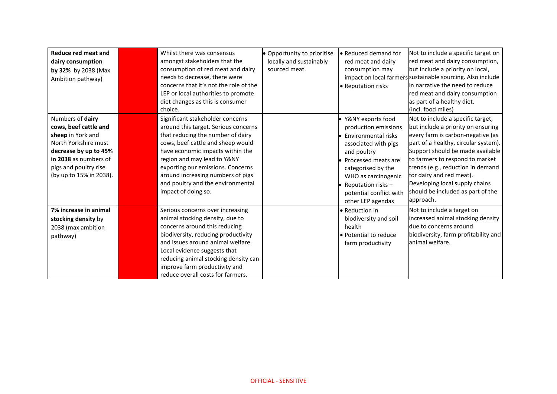| Reduce red meat and<br>dairy consumption<br>by 32% by 2038 (Max<br>Ambition pathway)                                                                                                         | Whilst there was consensus<br>amongst stakeholders that the<br>consumption of red meat and dairy<br>needs to decrease, there were<br>concerns that it's not the role of the<br>LEP or local authorities to promote<br>diet changes as this is consumer<br>choice.                                                                                           | • Opportunity to prioritise<br>locally and sustainably<br>sourced meat. | • Reduced demand for<br>red meat and dairy<br>consumption may<br>• Reputation risks                                                                                                                                                                   | Not to include a specific target on<br>red meat and dairy consumption,<br>but include a priority on local,<br>impact on local farmers sustainable sourcing. Also include<br>in narrative the need to reduce<br>red meat and dairy consumption<br>as part of a healthy diet.<br>(incl. food miles)                                                                                |
|----------------------------------------------------------------------------------------------------------------------------------------------------------------------------------------------|-------------------------------------------------------------------------------------------------------------------------------------------------------------------------------------------------------------------------------------------------------------------------------------------------------------------------------------------------------------|-------------------------------------------------------------------------|-------------------------------------------------------------------------------------------------------------------------------------------------------------------------------------------------------------------------------------------------------|----------------------------------------------------------------------------------------------------------------------------------------------------------------------------------------------------------------------------------------------------------------------------------------------------------------------------------------------------------------------------------|
| Numbers of dairy<br>cows, beef cattle and<br>sheep in York and<br>North Yorkshire must<br>decrease by up to 45%<br>in 2038 as numbers of<br>pigs and poultry rise<br>(by up to 15% in 2038). | Significant stakeholder concerns<br>around this target. Serious concerns<br>that reducing the number of dairy<br>cows, beef cattle and sheep would<br>have economic impacts within the<br>region and may lead to Y&NY<br>exporting our emissions. Concerns<br>around increasing numbers of pigs<br>and poultry and the environmental<br>impact of doing so. |                                                                         | · Y&NY exports food<br>production emissions<br>Environmental risks<br>associated with pigs<br>and poultry<br>• Processed meats are<br>categorised by the<br>WHO as carcinogenic<br>Reputation risks -<br>potential conflict with<br>other LEP agendas | Not to include a specific target,<br>but include a priority on ensuring<br>every farm is carbon-negative (as<br>part of a healthy, circular system).<br>Support should be made available<br>to farmers to respond to market<br>trends (e.g., reduction in demand<br>for dairy and red meat).<br>Developing local supply chains<br>should be included as part of the<br>approach. |
| 7% increase in animal<br>stocking density by<br>2038 (max ambition<br>pathway)                                                                                                               | Serious concerns over increasing<br>animal stocking density, due to<br>concerns around this reducing<br>biodiversity, reducing productivity<br>and issues around animal welfare.<br>Local evidence suggests that<br>reducing animal stocking density can<br>improve farm productivity and<br>reduce overall costs for farmers.                              |                                                                         | • Reduction in<br>biodiversity and soil<br>health<br>• Potential to reduce<br>farm productivity                                                                                                                                                       | Not to include a target on<br>increased animal stocking density<br>due to concerns around<br>biodiversity, farm profitability and<br>animal welfare.                                                                                                                                                                                                                             |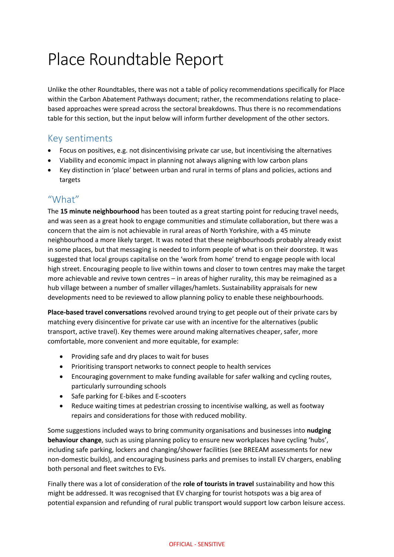# Place Roundtable Report

Unlike the other Roundtables, there was not a table of policy recommendations specifically for Place within the Carbon Abatement Pathways document; rather, the recommendations relating to placebased approaches were spread across the sectoral breakdowns. Thus there is no recommendations table for this section, but the input below will inform further development of the other sectors.

#### Key sentiments

- Focus on positives, e.g. not disincentivising private car use, but incentivising the alternatives
- Viability and economic impact in planning not always aligning with low carbon plans
- Key distinction in 'place' between urban and rural in terms of plans and policies, actions and targets

#### "What"

The **15 minute neighbourhood** has been touted as a great starting point for reducing travel needs, and was seen as a great hook to engage communities and stimulate collaboration, but there was a concern that the aim is not achievable in rural areas of North Yorkshire, with a 45 minute neighbourhood a more likely target. It was noted that these neighbourhoods probably already exist in some places, but that messaging is needed to inform people of what is on their doorstep. It was suggested that local groups capitalise on the 'work from home' trend to engage people with local high street. Encouraging people to live within towns and closer to town centres may make the target more achievable and revive town centres – in areas of higher rurality, this may be reimagined as a hub village between a number of smaller villages/hamlets. Sustainability appraisals for new developments need to be reviewed to allow planning policy to enable these neighbourhoods.

**Place-based travel conversations** revolved around trying to get people out of their private cars by matching every disincentive for private car use with an incentive for the alternatives (public transport, active travel). Key themes were around making alternatives cheaper, safer, more comfortable, more convenient and more equitable, for example:

- Providing safe and dry places to wait for buses
- Prioritising transport networks to connect people to health services
- Encouraging government to make funding available for safer walking and cycling routes, particularly surrounding schools
- Safe parking for E-bikes and E-scooters
- Reduce waiting times at pedestrian crossing to incentivise walking, as well as footway repairs and considerations for those with reduced mobility.

Some suggestions included ways to bring community organisations and businesses into **nudging behaviour change**, such as using planning policy to ensure new workplaces have cycling 'hubs', including safe parking, lockers and changing/shower facilities (see BREEAM assessments for new non-domestic builds), and encouraging business parks and premises to install EV chargers, enabling both personal and fleet switches to EVs.

Finally there was a lot of consideration of the **role of tourists in travel** sustainability and how this might be addressed. It was recognised that EV charging for tourist hotspots was a big area of potential expansion and refunding of rural public transport would support low carbon leisure access.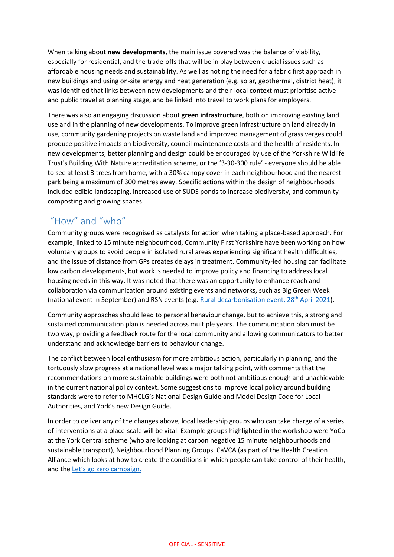When talking about **new developments**, the main issue covered was the balance of viability, especially for residential, and the trade-offs that will be in play between crucial issues such as affordable housing needs and sustainability. As well as noting the need for a fabric first approach in new buildings and using on-site energy and heat generation (e.g. solar, geothermal, district heat), it was identified that links between new developments and their local context must prioritise active and public travel at planning stage, and be linked into travel to work plans for employers.

There was also an engaging discussion about **green infrastructure**, both on improving existing land use and in the planning of new developments. To improve green infrastructure on land already in use, community gardening projects on waste land and improved management of grass verges could produce positive impacts on biodiversity, council maintenance costs and the health of residents. In new developments, better planning and design could be encouraged by use of the Yorkshire Wildlife Trust's Building With Nature accreditation scheme, or the '3-30-300 rule' - everyone should be able to see at least 3 trees from home, with a 30% canopy cover in each neighbourhood and the nearest park being a maximum of 300 metres away. Specific actions within the design of neighbourhoods included edible landscaping, increased use of SUDS ponds to increase biodiversity, and community composting and growing spaces.

#### "How" and "who"

Community groups were recognised as catalysts for action when taking a place-based approach. For example, linked to 15 minute neighbourhood, Community First Yorkshire have been working on how voluntary groups to avoid people in isolated rural areas experiencing significant health difficulties, and the issue of distance from GPs creates delays in treatment. Community-led housing can facilitate low carbon developments, but work is needed to improve policy and financing to address local housing needs in this way. It was noted that there was an opportunity to enhance reach and collaboration via communication around existing events and networks, such as Big Green Week (national event in September) and RSN events (e.g[. Rural decarbonisation event, 28](https://rsnonline.org.uk/rsn-seminar-rural-decarbonisation-2021)<sup>th</sup> April 2021).

Community approaches should lead to personal behaviour change, but to achieve this, a strong and sustained communication plan is needed across multiple years. The communication plan must be two way, providing a feedback route for the local community and allowing communicators to better understand and acknowledge barriers to behaviour change.

The conflict between local enthusiasm for more ambitious action, particularly in planning, and the tortuously slow progress at a national level was a major talking point, with comments that the recommendations on more sustainable buildings were both not ambitious enough and unachievable in the current national policy context. Some suggestions to improve local policy around building standards were to refer to MHCLG's National Design Guide and Model Design Code for Local Authorities, and York's new Design Guide.

In order to deliver any of the changes above, local leadership groups who can take charge of a series of interventions at a place-scale will be vital. Example groups highlighted in the workshop were YoCo at the York Central scheme (who are looking at carbon negative 15 minute neighbourhoods and sustainable transport), Neighbourhood Planning Groups, CaVCA (as part of the Health Creation Alliance which looks at how to create the conditions in which people can take control of their health, and the [Let's go zero campaign](https://letsgozero.org/).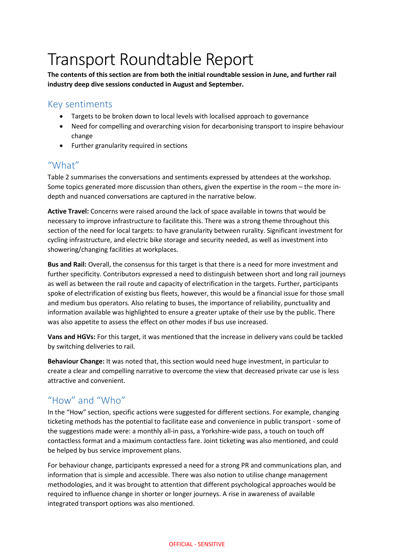## Transport Roundtable Report

**The contents of this section are from both the initial roundtable session in June, and further rail industry deep dive sessions conducted in August and September.**

### Key sentiments

- Targets to be broken down to local levels with localised approach to governance
- Need for compelling and overarching vision for decarbonising transport to inspire behaviour change
- Further granularity required in sections

#### "What"

Table 2 summarises the conversations and sentiments expressed by attendees at the workshop. Some topics generated more discussion than others, given the expertise in the room – the more indepth and nuanced conversations are captured in the narrative below.

**Active Travel:** Concerns were raised around the lack of space available in towns that would be necessary to improve infrastructure to facilitate this. There was a strong theme throughout this section of the need for local targets: to have granularity between rurality. Significant investment for cycling infrastructure, and electric bike storage and security needed, as well as investment into showering/changing facilities at workplaces.

**Bus and Rail:** Overall, the consensus for this target is that there is a need for more investment and further specificity. Contributors expressed a need to distinguish between short and long rail journeys as well as between the rail route and capacity of electrification in the targets. Further, participants spoke of electrification of existing bus fleets, however, this would be a financial issue for those small and medium bus operators. Also relating to buses, the importance of reliability, punctuality and information available was highlighted to ensure a greater uptake of their use by the public. There was also appetite to assess the effect on other modes if bus use increased.

**Vans and HGVs:** For this target, it was mentioned that the increase in delivery vans could be tackled by switching deliveries to rail.

**Behaviour Change:** It was noted that, this section would need huge investment, in particular to create a clear and compelling narrative to overcome the view that decreased private car use is less attractive and convenient.

## "How" and "Who"

In the "How" section, specific actions were suggested for different sections. For example, changing ticketing methods has the potential to facilitate ease and convenience in public transport - some of the suggestions made were: a monthly all-in pass, a Yorkshire-wide pass, a touch on touch off contactless format and a maximum contactless fare. Joint ticketing was also mentioned, and could be helped by bus service improvement plans.

For behaviour change, participants expressed a need for a strong PR and communications plan, and information that is simple and accessible. There was also notion to utilise change management methodologies, and it was brought to attention that different psychological approaches would be required to influence change in shorter or longer journeys. A rise in awareness of available integrated transport options was also mentioned.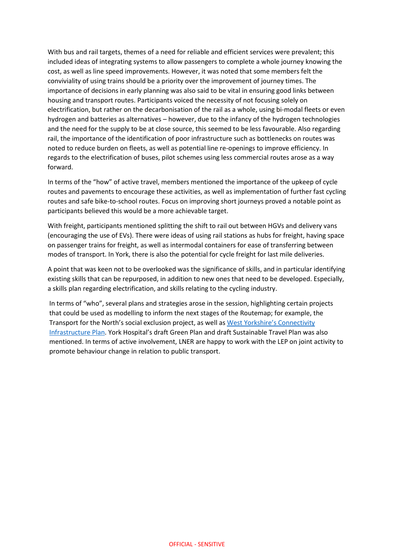With bus and rail targets, themes of a need for reliable and efficient services were prevalent; this included ideas of integrating systems to allow passengers to complete a whole journey knowing the cost, as well as line speed improvements. However, it was noted that some members felt the conviviality of using trains should be a priority over the improvement of journey times. The importance of decisions in early planning was also said to be vital in ensuring good links between housing and transport routes. Participants voiced the necessity of not focusing solely on electrification, but rather on the decarbonisation of the rail as a whole, using bi-modal fleets or even hydrogen and batteries as alternatives – however, due to the infancy of the hydrogen technologies and the need for the supply to be at close source, this seemed to be less favourable. Also regarding rail, the importance of the identification of poor infrastructure such as bottlenecks on routes was noted to reduce burden on fleets, as well as potential line re-openings to improve efficiency. In regards to the electrification of buses, pilot schemes using less commercial routes arose as a way forward.

In terms of the "how" of active travel, members mentioned the importance of the upkeep of cycle routes and pavements to encourage these activities, as well as implementation of further fast cycling routes and safe bike-to-school routes. Focus on improving short journeys proved a notable point as participants believed this would be a more achievable target.

With freight, participants mentioned splitting the shift to rail out between HGVs and delivery vans (encouraging the use of EVs). There were ideas of using rail stations as hubs for freight, having space on passenger trains for freight, as well as intermodal containers for ease of transferring between modes of transport. In York, there is also the potential for cycle freight for last mile deliveries.

A point that was keen not to be overlooked was the significance of skills, and in particular identifying existing skills that can be repurposed, in addition to new ones that need to be developed. Especially, a skills plan regarding electrification, and skills relating to the cycling industry.

In terms of "who", several plans and strategies arose in the session, highlighting certain projects that could be used as modelling to inform the next stages of the Routemap; for example, the Transport for the North's social exclusion project, as well as [West Yorkshire's Connectivity](https://www.westyorks-ca.gov.uk/improving-transport/connectivity/)  [Infrastructure Plan](https://www.westyorks-ca.gov.uk/improving-transport/connectivity/). York Hospital's draft Green Plan and draft Sustainable Travel Plan was also mentioned. In terms of active involvement, LNER are happy to work with the LEP on joint activity to promote behaviour change in relation to public transport.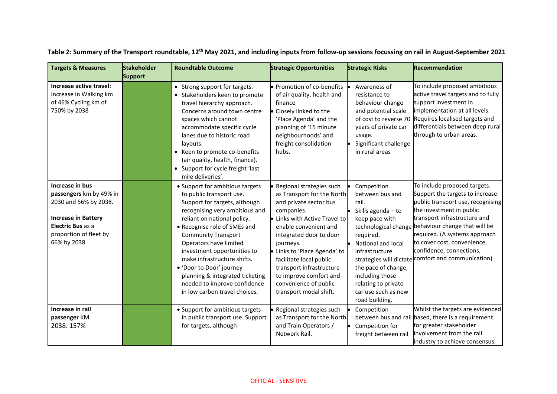| <b>Targets &amp; Measures</b>                                                                                                                                    | <b>Stakeholder</b><br><b>Support</b> | <b>Roundtable Outcome</b>                                                                                                                                                                                                                                                                                                                                                                                                                           | <b>Strategic Opportunities</b>                                                                                                                                                                                                                                                                                                                                         | <b>Strategic Risks</b>                                                                                                                                                                                                                                                 | Recommendation                                                                                                                                                                                                                                                                                                                                      |
|------------------------------------------------------------------------------------------------------------------------------------------------------------------|--------------------------------------|-----------------------------------------------------------------------------------------------------------------------------------------------------------------------------------------------------------------------------------------------------------------------------------------------------------------------------------------------------------------------------------------------------------------------------------------------------|------------------------------------------------------------------------------------------------------------------------------------------------------------------------------------------------------------------------------------------------------------------------------------------------------------------------------------------------------------------------|------------------------------------------------------------------------------------------------------------------------------------------------------------------------------------------------------------------------------------------------------------------------|-----------------------------------------------------------------------------------------------------------------------------------------------------------------------------------------------------------------------------------------------------------------------------------------------------------------------------------------------------|
| Increase active travel:<br>Increase in Walking km<br>of 46% Cycling km of<br>750% by 2038                                                                        |                                      | • Strong support for targets.<br>• Stakeholders keen to promote<br>travel hierarchy approach.<br>Concerns around town centre<br>spaces which cannot<br>accommodate specific cycle<br>lanes due to historic road<br>layouts.<br>• Keen to promote co-benefits<br>(air quality, health, finance).<br>• Support for cycle freight 'last<br>mile deliveries'.                                                                                           | · Promotion of co-benefits<br>of air quality, health and<br>finance<br>• Closely linked to the<br>'Place Agenda' and the<br>planning of '15 minute<br>neighbourhoods' and<br>freight consolidation<br>hubs.                                                                                                                                                            | Awareness of<br>resistance to<br>behaviour change<br>and potential scale<br>of cost to reverse 70<br>years of private car<br>usage.<br>Significant challenge<br>in rural areas                                                                                         | To include proposed ambitious<br>active travel targets and to fully<br>support investment in<br>implementation at all levels.<br>Requires localised targets and<br>differentials between deep rural<br>through to urban areas.                                                                                                                      |
| Increase in bus<br>passengers km by 49% in<br>2030 and 56% by 2038.<br><b>Increase in Battery</b><br>Electric Bus as a<br>proportion of fleet by<br>66% by 2038. |                                      | • Support for ambitious targets<br>to public transport use.<br>Support for targets, although<br>recognising very ambitious and<br>reliant on national policy.<br>• Recognise role of SMEs and<br><b>Community Transport</b><br>Operators have limited<br>investment opportunities to<br>make infrastructure shifts.<br>• 'Door to Door' journey<br>planning & integrated ticketing<br>needed to improve confidence<br>in low carbon travel choices. | • Regional strategies such<br>as Transport for the North<br>and private sector bus<br>companies.<br>· Links with Active Travel to<br>enable convenient and<br>integrated door to door<br>journeys.<br>· Links to 'Place Agenda' to<br>facilitate local public<br>transport infrastructure<br>to improve comfort and<br>convenience of public<br>transport modal shift. | Competition<br>between bus and<br>rail.<br>Skills agenda - to<br>keep pace with<br>technological change<br>required.<br>National and local<br>infrastructure<br>the pace of change,<br>including those<br>relating to private<br>car use such as new<br>road building. | To include proposed targets.<br>Support the targets to increase<br>public transport use, recognising<br>the investment in public<br>transport infrastructure and<br>behaviour change that will be<br>required. (A systems approach<br>to cover cost, convenience,<br>confidence, connections,<br>strategies will dictate comfort and communication) |
| Increase in rail<br>passenger KM<br>2038: 157%                                                                                                                   |                                      | • Support for ambitious targets<br>in public transport use. Support<br>for targets, although                                                                                                                                                                                                                                                                                                                                                        | · Regional strategies such<br>as Transport for the North<br>and Train Operators /<br>Network Rail.                                                                                                                                                                                                                                                                     | Competition<br>Competition for<br>freight between rail                                                                                                                                                                                                                 | Whilst the targets are evidenced<br>between bus and rail based, there is a requirement<br>for greater stakeholder<br>involvement from the rail<br>industry to achieve consensus.                                                                                                                                                                    |

**Table 2: Summary of the Transport roundtable, 12th May 2021, and including inputs from follow-up sessions focussing on rail in August-September 2021**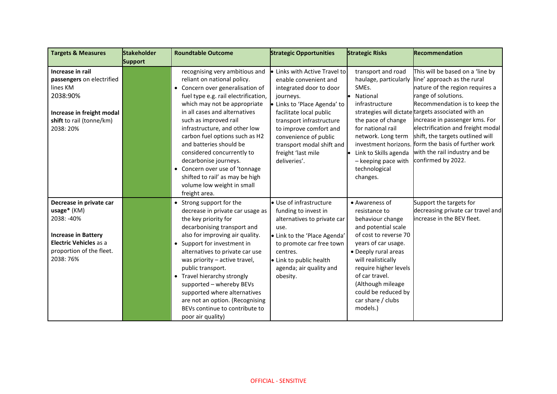| <b>Targets &amp; Measures</b>                                                                                                                                | <b>Stakeholder</b> | <b>Roundtable Outcome</b>                                                                                                                                                                                                                                                                                                                                                                                                                                                                                    | <b>Strategic Opportunities</b>                                                                                                                                                                                                                                                                              | <b>Strategic Risks</b>                                                                                                                                                                                                                                                                           | Recommendation                                                                                                                                                                                                                                                                                                                                                                                                       |
|--------------------------------------------------------------------------------------------------------------------------------------------------------------|--------------------|--------------------------------------------------------------------------------------------------------------------------------------------------------------------------------------------------------------------------------------------------------------------------------------------------------------------------------------------------------------------------------------------------------------------------------------------------------------------------------------------------------------|-------------------------------------------------------------------------------------------------------------------------------------------------------------------------------------------------------------------------------------------------------------------------------------------------------------|--------------------------------------------------------------------------------------------------------------------------------------------------------------------------------------------------------------------------------------------------------------------------------------------------|----------------------------------------------------------------------------------------------------------------------------------------------------------------------------------------------------------------------------------------------------------------------------------------------------------------------------------------------------------------------------------------------------------------------|
| Increase in rail<br>passengers on electrified<br>lines KM<br>2038:90%<br>Increase in freight modal<br>shift to rail (tonne/km)<br>2038: 20%                  | <b>Support</b>     | recognising very ambitious and<br>reliant on national policy.<br>• Concern over generalisation of<br>fuel type e.g. rail electrification,<br>which may not be appropriate<br>in all cases and alternatives<br>such as improved rail<br>infrastructure, and other low<br>carbon fuel options such as H2<br>and batteries should be<br>considered concurrently to<br>decarbonise journeys.<br>• Concern over use of 'tonnage<br>shifted to rail' as may be high<br>volume low weight in small<br>freight area. | • Links with Active Travel to<br>enable convenient and<br>integrated door to door<br>journeys.<br>· Links to 'Place Agenda' to<br>facilitate local public<br>transport infrastructure<br>to improve comfort and<br>convenience of public<br>transport modal shift and<br>freight 'last mile<br>deliveries'. | transport and road<br>haulage, particularly<br>SMEs.<br>National<br>infrastructure<br>the pace of change<br>for national rail<br>network. Long term<br>investment horizons.<br>Link to Skills agenda<br>- keeping pace with<br>technological<br>changes.                                         | This will be based on a 'line by<br>line' approach as the rural<br>nature of the region requires a<br>range of solutions.<br>Recommendation is to keep the<br>strategies will dictate targets associated with an<br>increase in passenger kms. For<br>electrification and freight modal<br>shift, the targets outlined will<br>form the basis of further work<br>with the rail industry and be<br>confirmed by 2022. |
| Decrease in private car<br>usage* (KM)<br>2038: -40%<br><b>Increase in Battery</b><br><b>Electric Vehicles as a</b><br>proportion of the fleet.<br>2038: 76% |                    | • Strong support for the<br>decrease in private car usage as<br>the key priority for<br>decarbonising transport and<br>also for improving air quality.<br>• Support for investment in<br>alternatives to private car use<br>was priority - active travel,<br>public transport.<br>• Travel hierarchy strongly<br>supported - whereby BEVs<br>supported where alternatives<br>are not an option. (Recognising<br>BEVs continue to contribute to<br>poor air quality)                                          | • Use of infrastructure<br>funding to invest in<br>alternatives to private car<br>use.<br>• Link to the 'Place Agenda'<br>to promote car free town<br>centres.<br>• Link to public health<br>agenda; air quality and<br>obesity.                                                                            | • Awareness of<br>resistance to<br>behaviour change<br>and potential scale<br>of cost to reverse 70<br>years of car usage.<br>• Deeply rural areas<br>will realistically<br>require higher levels<br>of car travel.<br>(Although mileage<br>could be reduced by<br>car share / clubs<br>models.) | Support the targets for<br>decreasing private car travel and<br>increase in the BEV fleet.                                                                                                                                                                                                                                                                                                                           |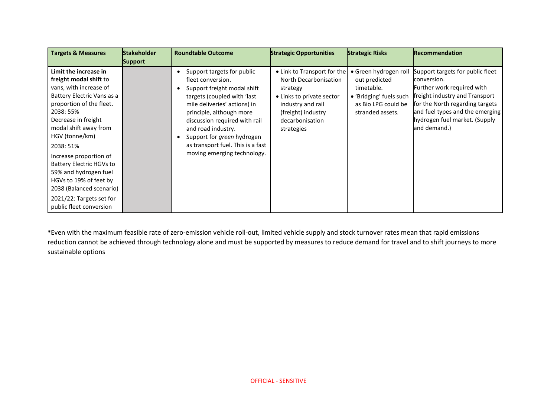| <b>Targets &amp; Measures</b>                                                                                                                                                                                                                                                                                                                                                                                               | <b>Stakeholder</b><br><b>Support</b> | <b>Roundtable Outcome</b>                                                                                                                                                                                                                                                                                                                                         | <b>Strategic Opportunities</b>                                                                                                                                            | <b>Strategic Risks</b>                                                                                                     | <b>Recommendation</b>                                                                                                                                                                                                                  |
|-----------------------------------------------------------------------------------------------------------------------------------------------------------------------------------------------------------------------------------------------------------------------------------------------------------------------------------------------------------------------------------------------------------------------------|--------------------------------------|-------------------------------------------------------------------------------------------------------------------------------------------------------------------------------------------------------------------------------------------------------------------------------------------------------------------------------------------------------------------|---------------------------------------------------------------------------------------------------------------------------------------------------------------------------|----------------------------------------------------------------------------------------------------------------------------|----------------------------------------------------------------------------------------------------------------------------------------------------------------------------------------------------------------------------------------|
| Limit the increase in<br>freight modal shift to<br>vans, with increase of<br>Battery Electric Vans as a<br>proportion of the fleet.<br>2038: 55%<br>Decrease in freight<br>modal shift away from<br>HGV (tonne/km)<br>2038: 51%<br>Increase proportion of<br>Battery Electric HGVs to<br>59% and hydrogen fuel<br>HGVs to 19% of feet by<br>2038 (Balanced scenario)<br>2021/22: Targets set for<br>public fleet conversion |                                      | Support targets for public<br>٠<br>fleet conversion.<br>Support freight modal shift<br>$\bullet$<br>targets (coupled with 'last<br>mile deliveries' actions) in<br>principle, although more<br>discussion required with rail<br>and road industry.<br>Support for green hydrogen<br>$\bullet$<br>as transport fuel. This is a fast<br>moving emerging technology. | • Link to Transport for the<br>North Decarbonisation<br>strategy<br>• Links to private sector<br>industry and rail<br>(freight) industry<br>decarbonisation<br>strategies | · Green hydrogen roll<br>out predicted<br>timetable.<br>• 'Bridging' fuels such<br>as Bio LPG could be<br>stranded assets. | Support targets for public fleet<br>conversion.<br>Further work required with<br>freight industry and Transport<br>for the North regarding targets<br>and fuel types and the emerging<br>hydrogen fuel market. (Supply<br>and demand.) |

**\***Even with the maximum feasible rate of zero-emission vehicle roll-out, limited vehicle supply and stock turnover rates mean that rapid emissions reduction cannot be achieved through technology alone and must be supported by measures to reduce demand for travel and to shift journeys to more sustainable options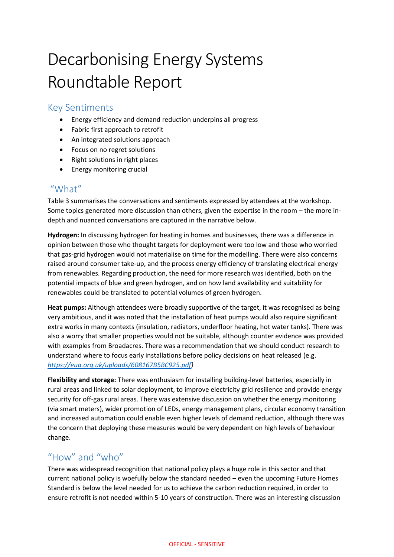# Decarbonising Energy Systems Roundtable Report

#### Key Sentiments

- Energy efficiency and demand reduction underpins all progress
- Fabric first approach to retrofit
- An integrated solutions approach
- Focus on no regret solutions
- Right solutions in right places
- **•** Energy monitoring crucial

#### "What"

Table 3 summarises the conversations and sentiments expressed by attendees at the workshop. Some topics generated more discussion than others, given the expertise in the room – the more indepth and nuanced conversations are captured in the narrative below.

**Hydrogen:** In discussing hydrogen for heating in homes and businesses, there was a difference in opinion between those who thought targets for deployment were too low and those who worried that gas-grid hydrogen would not materialise on time for the modelling. There were also concerns raised around consumer take-up, and the process energy efficiency of translating electrical energy from renewables. Regarding production, the need for more research was identified, both on the potential impacts of blue and green hydrogen, and on how land availability and suitability for renewables could be translated to potential volumes of green hydrogen.

**Heat pumps:** Although attendees were broadly supportive of the target, it was recognised as being very ambitious, and it was noted that the installation of heat pumps would also require significant extra works in many contexts (insulation, radiators, underfloor heating, hot water tanks). There was also a worry that smaller properties would not be suitable, although counter evidence was provided with examples from Broadacres. There was a recommendation that we should conduct research to understand where to focus early installations before policy decisions on heat released (e.g. *[https://eua.org.uk/uploads/608167B5BC925.pdf\)](https://eua.org.uk/uploads/608167B5BC925.pdf)*

**Flexibility and storage:** There was enthusiasm for installing building-level batteries, especially in rural areas and linked to solar deployment, to improve electricity grid resilience and provide energy security for off-gas rural areas. There was extensive discussion on whether the energy monitoring (via smart meters), wider promotion of LEDs, energy management plans, circular economy transition and increased automation could enable even higher levels of demand reduction, although there was the concern that deploying these measures would be very dependent on high levels of behaviour change.

## "How" and "who"

There was widespread recognition that national policy plays a huge role in this sector and that current national policy is woefully below the standard needed – even the upcoming Future Homes Standard is below the level needed for us to achieve the carbon reduction required, in order to ensure retrofit is not needed within 5-10 years of construction. There was an interesting discussion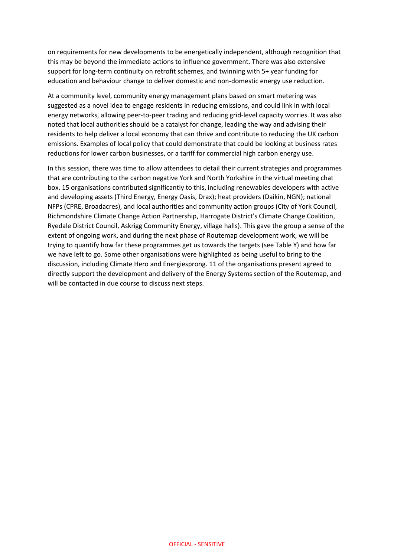on requirements for new developments to be energetically independent, although recognition that this may be beyond the immediate actions to influence government. There was also extensive support for long-term continuity on retrofit schemes, and twinning with 5+ year funding for education and behaviour change to deliver domestic and non-domestic energy use reduction.

At a community level, community energy management plans based on smart metering was suggested as a novel idea to engage residents in reducing emissions, and could link in with local energy networks, allowing peer-to-peer trading and reducing grid-level capacity worries. It was also noted that local authorities should be a catalyst for change, leading the way and advising their residents to help deliver a local economy that can thrive and contribute to reducing the UK carbon emissions. Examples of local policy that could demonstrate that could be looking at business rates reductions for lower carbon businesses, or a tariff for commercial high carbon energy use.

In this session, there was time to allow attendees to detail their current strategies and programmes that are contributing to the carbon negative York and North Yorkshire in the virtual meeting chat box. 15 organisations contributed significantly to this, including renewables developers with active and developing assets (Third Energy, Energy Oasis, Drax); heat providers (Daikin, NGN); national NFPs (CPRE, Broadacres), and local authorities and community action groups (City of York Council, Richmondshire Climate Change Action Partnership, Harrogate District's Climate Change Coalition, Ryedale District Council, Askrigg Community Energy, village halls). This gave the group a sense of the extent of ongoing work, and during the next phase of Routemap development work, we will be trying to quantify how far these programmes get us towards the targets (see Table Y) and how far we have left to go. Some other organisations were highlighted as being useful to bring to the discussion, including Climate Hero and Energiesprong. 11 of the organisations present agreed to directly support the development and delivery of the Energy Systems section of the Routemap, and will be contacted in due course to discuss next steps.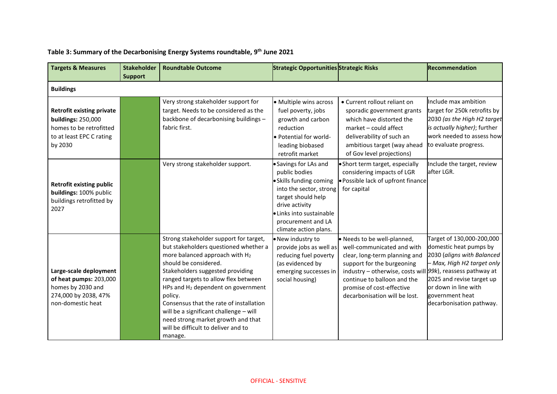| <b>Targets &amp; Measures</b>                                                                                                   | <b>Stakeholder</b><br><b>Support</b> | <b>Roundtable Outcome</b>                                                                                                                                                                                                                                                                                                                                                                                                                                        | <b>Strategic Opportunities Strategic Risks</b>                                                                                                                                                                  |                                                                                                                                                                                                                                                                                       | <b>Recommendation</b>                                                                                                                                                                                               |
|---------------------------------------------------------------------------------------------------------------------------------|--------------------------------------|------------------------------------------------------------------------------------------------------------------------------------------------------------------------------------------------------------------------------------------------------------------------------------------------------------------------------------------------------------------------------------------------------------------------------------------------------------------|-----------------------------------------------------------------------------------------------------------------------------------------------------------------------------------------------------------------|---------------------------------------------------------------------------------------------------------------------------------------------------------------------------------------------------------------------------------------------------------------------------------------|---------------------------------------------------------------------------------------------------------------------------------------------------------------------------------------------------------------------|
| <b>Buildings</b>                                                                                                                |                                      |                                                                                                                                                                                                                                                                                                                                                                                                                                                                  |                                                                                                                                                                                                                 |                                                                                                                                                                                                                                                                                       |                                                                                                                                                                                                                     |
| <b>Retrofit existing private</b><br><b>buildings: 250,000</b><br>homes to be retrofitted<br>to at least EPC C rating<br>by 2030 |                                      | Very strong stakeholder support for<br>target. Needs to be considered as the<br>backbone of decarbonising buildings -<br>fabric first.                                                                                                                                                                                                                                                                                                                           | • Multiple wins across<br>fuel poverty, jobs<br>growth and carbon<br>reduction<br>• Potential for world-<br>leading biobased<br>retrofit market                                                                 | • Current rollout reliant on<br>sporadic government grants<br>which have distorted the<br>market - could affect<br>deliverability of such an<br>ambitious target (way ahead<br>of Gov level projections)                                                                              | Include max ambition<br>target for 250k retrofits by<br>2030 (as the High H2 target<br>is actually higher); further<br>work needed to assess how<br>to evaluate progress.                                           |
| <b>Retrofit existing public</b><br>buildings: 100% public<br>buildings retrofitted by<br>2027                                   |                                      | Very strong stakeholder support.                                                                                                                                                                                                                                                                                                                                                                                                                                 | • Savings for LAs and<br>public bodies<br>· Skills funding coming<br>into the sector, strong<br>target should help<br>drive activity<br>· Links into sustainable<br>procurement and LA<br>climate action plans. | • Short term target, especially<br>considering impacts of LGR<br>· Possible lack of upfront finance<br>for capital                                                                                                                                                                    | Include the target, review<br>after LGR.                                                                                                                                                                            |
| Large-scale deployment<br>of heat pumps: 203,000<br>homes by 2030 and<br>274,000 by 2038, 47%<br>non-domestic heat              |                                      | Strong stakeholder support for target,<br>but stakeholders questioned whether a<br>more balanced approach with H2<br>should be considered.<br>Stakeholders suggested providing<br>ranged targets to allow flex between<br>HPs and H <sub>2</sub> dependent on government<br>policy.<br>Consensus that the rate of installation<br>will be a significant challenge - will<br>need strong market growth and that<br>will be difficult to deliver and to<br>manage. | • New industry to<br>provide jobs as well as<br>reducing fuel poverty<br>(as evidenced by<br>emerging successes in<br>social housing)                                                                           | · Needs to be well-planned,<br>well-communicated and with<br>clear, long-term planning and<br>support for the burgeoning<br>industry – otherwise, costs will $99k$ , reassess pathway at<br>continue to balloon and the<br>promise of cost-effective<br>decarbonisation will be lost. | Target of 130,000-200,000<br>domestic heat pumps by<br>2030 (aligns with Balanced<br>- Max, High H2 target only<br>2025 and revise target up<br>or down in line with<br>government heat<br>decarbonisation pathway. |

#### **Table 3: Summary of the Decarbonising Energy Systems roundtable, 9 th June 2021**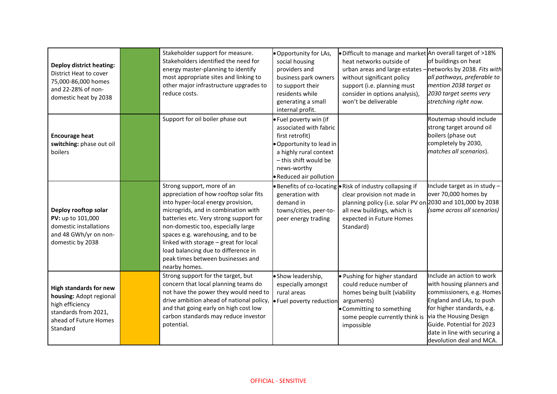| <b>Deploy district heating:</b><br>District Heat to cover<br>75,000-86,000 homes<br>and 22-28% of non-<br>domestic heat by 2038          | Stakeholder support for measure.<br>Stakeholders identified the need for<br>energy master-planning to identify<br>most appropriate sites and linking to<br>other major infrastructure upgrades to<br>reduce costs.                                                                                                                                                                                            | . Opportunity for LAs,<br>social housing<br>providers and<br>business park owners<br>to support their<br>residents while<br>generating a small<br>internal profit.                           | . Difficult to manage and market An overall target of >18%<br>heat networks outside of<br>urban areas and large estates -<br>without significant policy<br>support (i.e. planning must<br>consider in options analysis),<br>won't be deliverable | of buildings on heat<br>networks by 2038. Fits with<br>all pathways, preferable to<br>mention 2038 target as<br>2030 target seems very<br>stretching right now.                                                                                                  |
|------------------------------------------------------------------------------------------------------------------------------------------|---------------------------------------------------------------------------------------------------------------------------------------------------------------------------------------------------------------------------------------------------------------------------------------------------------------------------------------------------------------------------------------------------------------|----------------------------------------------------------------------------------------------------------------------------------------------------------------------------------------------|--------------------------------------------------------------------------------------------------------------------------------------------------------------------------------------------------------------------------------------------------|------------------------------------------------------------------------------------------------------------------------------------------------------------------------------------------------------------------------------------------------------------------|
| <b>Encourage heat</b><br>switching: phase out oil<br>boilers                                                                             | Support for oil boiler phase out                                                                                                                                                                                                                                                                                                                                                                              | · Fuel poverty win (if<br>associated with fabric<br>first retrofit)<br>. Opportunity to lead in<br>a highly rural context<br>- this shift would be<br>news-worthy<br>• Reduced air pollution |                                                                                                                                                                                                                                                  | Routemap should include<br>strong target around oil<br>boilers (phase out<br>completely by 2030,<br>matches all scenarios).                                                                                                                                      |
| Deploy rooftop solar<br>PV: up to 101,000<br>domestic installations<br>and 48 GWh/yr on non-<br>domestic by 2038                         | Strong support, more of an<br>appreciation of how rooftop solar fits<br>into hyper-local energy provision,<br>microgrids, and in combination with<br>batteries etc. Very strong support for<br>non-domestic too, especially large<br>spaces e.g. warehousing, and to be<br>linked with storage - great for local<br>load balancing due to difference in<br>peak times between businesses and<br>nearby homes. | generation with<br>demand in<br>towns/cities, peer-to-<br>peer energy trading                                                                                                                | • Benefits of co-locating • Risk of industry collapsing if<br>clear provision not made in<br>planning policy (i.e. solar PV on 2030 and 101,000 by 2038<br>all new buildings, which is<br>expected in Future Homes<br>Standard)                  | Include target as in study -<br>over 70,000 homes by<br>(same across all scenarios)                                                                                                                                                                              |
| <b>High standards for new</b><br>housing: Adopt regional<br>high efficiency<br>standards from 2021,<br>ahead of Future Homes<br>Standard | Strong support for the target, but<br>concern that local planning teams do<br>not have the power they would need to<br>drive ambition ahead of national policy,<br>and that going early on high cost low<br>carbon standards may reduce investor<br>potential.                                                                                                                                                | · Show leadership,<br>especially amongst<br>rural areas<br>. Fuel poverty reduction                                                                                                          | . Pushing for higher standard<br>could reduce number of<br>homes being built (viability<br>arguments)<br>• Committing to something<br>some people currently think is<br>impossible                                                               | Include an action to work<br>with housing planners and<br>commissioners, e.g. Homes<br>England and LAs, to push<br>for higher standards, e.g.<br>via the Housing Design<br>Guide. Potential for 2023<br>date in line with securing a<br>devolution deal and MCA. |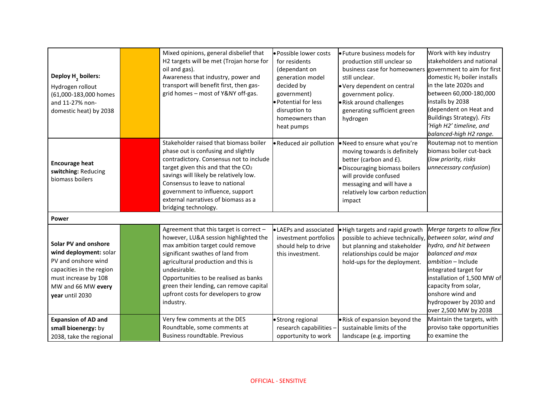| Deploy H <sub>2</sub> boilers:<br>Hydrogen rollout<br>(61,000-183,000 homes<br>and 11-27% non-<br>domestic heat) by 2038                                           | Mixed opinions, general disbelief that<br>H2 targets will be met (Trojan horse for<br>oil and gas).<br>Awareness that industry, power and<br>transport will benefit first, then gas-<br>grid homes - most of Y&NY off-gas.                                                                                                                                | · Possible lower costs<br>for residents<br>(dependant on<br>generation model<br>decided by<br>government)<br>· Potential for less<br>disruption to<br>homeowners than<br>heat pumps | · Future business models for<br>production still unclear so<br>business case for homeowners government to aim for first<br>still unclear.<br>. Very dependent on central<br>government policy.<br>· Risk around challenges<br>generating sufficient green<br>hydrogen | Work with key industry<br>stakeholders and national<br>domestic H <sub>2</sub> boiler installs<br>in the late 2020s and<br>between 60,000-180,000<br>installs by 2038<br>(dependent on Heat and<br>Buildings Strategy). Fits<br>'High H2' timeline, and<br>balanced-high H2 range. |
|--------------------------------------------------------------------------------------------------------------------------------------------------------------------|-----------------------------------------------------------------------------------------------------------------------------------------------------------------------------------------------------------------------------------------------------------------------------------------------------------------------------------------------------------|-------------------------------------------------------------------------------------------------------------------------------------------------------------------------------------|-----------------------------------------------------------------------------------------------------------------------------------------------------------------------------------------------------------------------------------------------------------------------|------------------------------------------------------------------------------------------------------------------------------------------------------------------------------------------------------------------------------------------------------------------------------------|
| <b>Encourage heat</b><br>switching: Reducing<br>biomass boilers                                                                                                    | Stakeholder raised that biomass boiler<br>phase out is confusing and slightly<br>contradictory. Consensus not to include<br>target given this and that the CO <sub>2</sub><br>savings will likely be relatively low.<br>Consensus to leave to national<br>government to influence, support<br>external narratives of biomass as a<br>bridging technology. | • Reduced air pollution                                                                                                                                                             | . Need to ensure what you're<br>moving towards is definitely<br>better (carbon and £).<br>Discouraging biomass boilers<br>will provide confused<br>messaging and will have a<br>relatively low carbon reduction<br>impact                                             | Routemap not to mention<br>biomass boiler cut-back<br>(low priority, risks<br>unnecessary confusion)                                                                                                                                                                               |
| Power                                                                                                                                                              |                                                                                                                                                                                                                                                                                                                                                           |                                                                                                                                                                                     |                                                                                                                                                                                                                                                                       |                                                                                                                                                                                                                                                                                    |
| Solar PV and onshore<br>wind deployment: solar<br>PV and onshore wind<br>capacities in the region<br>must increase by 108<br>MW and 66 MW every<br>year until 2030 | Agreement that this target is correct -<br>however, LU&A session highlighted the<br>max ambition target could remove<br>significant swathes of land from<br>agricultural production and this is<br>undesirable.<br>Opportunities to be realised as banks<br>green their lending, can remove capital<br>upfront costs for developers to grow<br>industry.  | • LAEPs and associated<br>investment portfolios<br>should help to drive<br>this investment.                                                                                         | . High targets and rapid growth<br>possible to achieve technically,<br>but planning and stakeholder<br>relationships could be major<br>hold-ups for the deployment.                                                                                                   | Merge targets to allow flex<br>between solar, wind and<br>hydro, and hit between<br>balanced and max<br>ambition - Include<br>integrated target for<br>installation of 1,500 MW of<br>capacity from solar,<br>onshore wind and<br>hydropower by 2030 and<br>over 2,500 MW by 2038  |
| <b>Expansion of AD and</b><br>small bioenergy: by<br>2038, take the regional                                                                                       | Very few comments at the DES<br>Roundtable, some comments at<br>Business roundtable. Previous                                                                                                                                                                                                                                                             | • Strong regional<br>research capabilities -<br>opportunity to work                                                                                                                 | . Risk of expansion beyond the<br>sustainable limits of the<br>landscape (e.g. importing                                                                                                                                                                              | Maintain the targets, with<br>proviso take opportunities<br>to examine the                                                                                                                                                                                                         |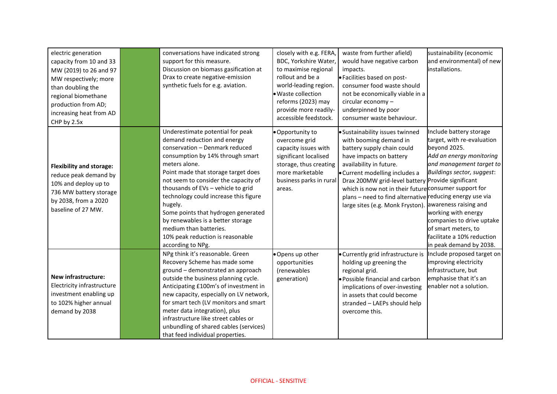| electric generation<br>capacity from 10 and 33<br>MW (2019) to 26 and 97<br>MW respectively; more<br>than doubling the<br>regional biomethane<br>production from AD;<br>increasing heat from AD<br>CHP by 2.5x | conversations have indicated strong<br>support for this measure.<br>Discussion on biomass gasification at<br>Drax to create negative-emission<br>synthetic fuels for e.g. aviation.                                                                                                                                                                                                                                                                                                            | closely with e.g. FERA,<br>BDC, Yorkshire Water,<br>to maximise regional<br>rollout and be a<br>world-leading region.<br>· Waste collection<br>reforms (2023) may<br>provide more readily-<br>accessible feedstock. | waste from further afield)<br>would have negative carbon<br>impacts.<br>· Facilities based on post-<br>consumer food waste should<br>not be economically viable in a<br>circular economy -<br>underpinned by poor<br>consumer waste behaviour.                                                                                                                            | sustainability (economic<br>and environmental) of new<br>installations.                                                                                                                                                                                                                                                                         |
|----------------------------------------------------------------------------------------------------------------------------------------------------------------------------------------------------------------|------------------------------------------------------------------------------------------------------------------------------------------------------------------------------------------------------------------------------------------------------------------------------------------------------------------------------------------------------------------------------------------------------------------------------------------------------------------------------------------------|---------------------------------------------------------------------------------------------------------------------------------------------------------------------------------------------------------------------|---------------------------------------------------------------------------------------------------------------------------------------------------------------------------------------------------------------------------------------------------------------------------------------------------------------------------------------------------------------------------|-------------------------------------------------------------------------------------------------------------------------------------------------------------------------------------------------------------------------------------------------------------------------------------------------------------------------------------------------|
| <b>Flexibility and storage:</b><br>reduce peak demand by<br>10% and deploy up to<br>736 MW battery storage<br>by 2038, from a 2020<br>baseline of 27 MW.                                                       | Underestimate potential for peak<br>demand reduction and energy<br>conservation - Denmark reduced<br>consumption by 14% through smart<br>meters alone.<br>Point made that storage target does<br>not seem to consider the capacity of<br>thousands of EVs - vehicle to grid<br>technology could increase this figure<br>hugely.<br>Some points that hydrogen generated<br>by renewables is a better storage<br>medium than batteries.<br>10% peak reduction is reasonable<br>according to NPg. | · Opportunity to<br>overcome grid<br>capacity issues with<br>significant localised<br>storage, thus creating<br>more marketable<br>business parks in rural<br>areas.                                                | · Sustainability issues twinned<br>with booming demand in<br>battery supply chain could<br>have impacts on battery<br>availability in future.<br>• Current modelling includes a<br>Drax 200MW grid-level battery<br>which is now not in their future consumer support for<br>plans - need to find alternative reducing energy use via<br>large sites (e.g. Monk Fryston). | Include battery storage<br>target, with re-evaluation<br>beyond 2025.<br>Add an energy monitoring<br>and management target to<br>Buildings sector, suggest:<br>Provide significant<br>awareness raising and<br>working with energy<br>companies to drive uptake<br>of smart meters, to<br>facilitate a 10% reduction<br>in peak demand by 2038. |
| New infrastructure:<br>Electricity infrastructure<br>investment enabling up<br>to 102% higher annual<br>demand by 2038                                                                                         | NPg think it's reasonable. Green<br>Recovery Scheme has made some<br>ground - demonstrated an approach<br>outside the business planning cycle.<br>Anticipating £100m's of investment in<br>new capacity, especially on LV network,<br>for smart tech (LV monitors and smart<br>meter data integration), plus<br>infrastructure like street cables or<br>unbundling of shared cables (services)<br>that feed individual properties.                                                             | · Opens up other<br>opportunities<br>(renewables<br>generation)                                                                                                                                                     | · Currently grid infrastructure is<br>holding up greening the<br>regional grid.<br>· Possible financial and carbon<br>implications of over-investing<br>in assets that could become<br>stranded - LAEPs should help<br>overcome this.                                                                                                                                     | Include proposed target on<br>improving electricity<br>infrastructure, but<br>emphasise that it's an<br>enabler not a solution.                                                                                                                                                                                                                 |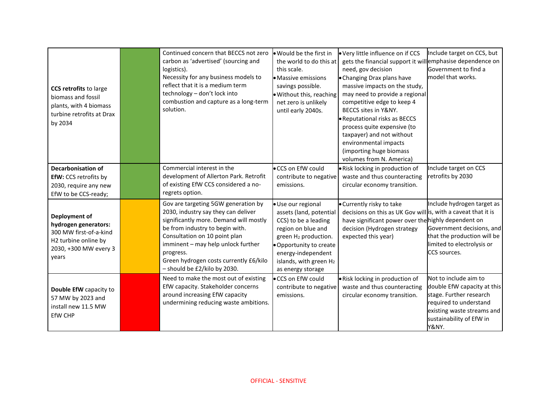| <b>CCS retrofits to large</b><br>biomass and fossil<br>plants, with 4 biomass<br>turbine retrofits at Drax<br>by 2034     | Continued concern that BECCS not zero<br>carbon as 'advertised' (sourcing and<br>logistics).<br>Necessity for any business models to<br>reflect that it is a medium term<br>technology - don't lock into<br>combustion and capture as a long-term<br>solution.                                                        | . Would be the first in<br>the world to do this at<br>this scale.<br>• Massive emissions<br>savings possible.<br>. Without this, reaching<br>net zero is unlikely<br>until early 2040s.                                         | . Very little influence on if CCS<br>gets the financial support it willemphasise dependence on<br>need, gov decision<br>• Changing Drax plans have<br>massive impacts on the study,<br>may need to provide a regional<br>competitive edge to keep 4<br>BECCS sites in Y&NY.<br>Reputational risks as BECCS<br>process quite expensive (to<br>taxpayer) and not without<br>environmental impacts<br>(importing huge biomass<br>volumes from N. America) | Include target on CCS, but<br>Government to find a<br>model that works.                                                                                                      |
|---------------------------------------------------------------------------------------------------------------------------|-----------------------------------------------------------------------------------------------------------------------------------------------------------------------------------------------------------------------------------------------------------------------------------------------------------------------|---------------------------------------------------------------------------------------------------------------------------------------------------------------------------------------------------------------------------------|--------------------------------------------------------------------------------------------------------------------------------------------------------------------------------------------------------------------------------------------------------------------------------------------------------------------------------------------------------------------------------------------------------------------------------------------------------|------------------------------------------------------------------------------------------------------------------------------------------------------------------------------|
| <b>Decarbonisation of</b><br>EfW: CCS retrofits by<br>2030, require any new<br>EfW to be CCS-ready;                       | Commercial interest in the<br>development of Allerton Park. Retrofit<br>of existing EfW CCS considered a no-<br>regrets option.                                                                                                                                                                                       | • CCS on EfW could<br>contribute to negative<br>emissions.                                                                                                                                                                      | · Risk locking in production of<br>waste and thus counteracting<br>circular economy transition.                                                                                                                                                                                                                                                                                                                                                        | Include target on CCS<br>retrofits by 2030                                                                                                                                   |
| Deployment of<br>hydrogen generators:<br>300 MW first-of-a-kind<br>H2 turbine online by<br>2030, +300 MW every 3<br>years | Gov are targeting 5GW generation by<br>2030, industry say they can deliver<br>significantly more. Demand will mostly<br>be from industry to begin with.<br>Consultation on 10 point plan<br>imminent - may help unlock further<br>progress.<br>Green hydrogen costs currently £6/kilo<br>- should be £2/kilo by 2030. | · Use our regional<br>assets (land, potential<br>CCS) to be a leading<br>region on blue and<br>green H <sub>2</sub> production.<br>. Opportunity to create<br>energy-independent<br>islands, with green H2<br>as energy storage | • Currently risky to take<br>decisions on this as UK Gov will is, with a caveat that it is<br>have significant power over the highly dependent on<br>decision (Hydrogen strategy<br>expected this year)                                                                                                                                                                                                                                                | Include hydrogen target as<br>Government decisions, and<br>that the production will be<br>limited to electrolysis or<br>CCS sources.                                         |
| Double EfW capacity to<br>57 MW by 2023 and<br>install new 11.5 MW<br>EfW CHP                                             | Need to make the most out of existing<br>EfW capacity. Stakeholder concerns<br>around increasing EfW capacity<br>undermining reducing waste ambitions.                                                                                                                                                                | • CCS on EfW could<br>contribute to negative<br>emissions.                                                                                                                                                                      | . Risk locking in production of<br>waste and thus counteracting<br>circular economy transition.                                                                                                                                                                                                                                                                                                                                                        | Not to include aim to<br>double EfW capacity at this<br>stage. Further research<br>required to understand<br>existing waste streams and<br>sustainability of EfW in<br>Y&NY. |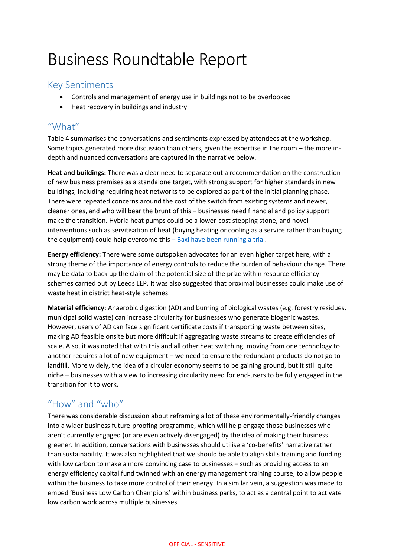# Business Roundtable Report

### Key Sentiments

- Controls and management of energy use in buildings not to be overlooked
- Heat recovery in buildings and industry

### "What"

Table 4 summarises the conversations and sentiments expressed by attendees at the workshop. Some topics generated more discussion than others, given the expertise in the room – the more indepth and nuanced conversations are captured in the narrative below.

**Heat and buildings:** There was a clear need to separate out a recommendation on the construction of new business premises as a standalone target, with strong support for higher standards in new buildings, including requiring heat networks to be explored as part of the initial planning phase. There were repeated concerns around the cost of the switch from existing systems and newer, cleaner ones, and who will bear the brunt of this – businesses need financial and policy support make the transition. Hybrid heat pumps could be a lower-cost stepping stone, and novel interventions such as servitisation of heat (buying heating or cooling as a service rather than buying the equipment) could help overcome this  $-$  [Baxi have been running a trial.](https://www.baxiheating.co.uk/news/baxi-wins-bid-for-government-funding-for-servitisation-project)

**Energy efficiency:** There were some outspoken advocates for an even higher target here, with a strong theme of the importance of energy controls to reduce the burden of behaviour change. There may be data to back up the claim of the potential size of the prize within resource efficiency schemes carried out by Leeds LEP. It was also suggested that proximal businesses could make use of waste heat in district heat-style schemes.

**Material efficiency:** Anaerobic digestion (AD) and burning of biological wastes (e.g. forestry residues, municipal solid waste) can increase circularity for businesses who generate biogenic wastes. However, users of AD can face significant certificate costs if transporting waste between sites, making AD feasible onsite but more difficult if aggregating waste streams to create efficiencies of scale. Also, it was noted that with this and all other heat switching, moving from one technology to another requires a lot of new equipment – we need to ensure the redundant products do not go to landfill. More widely, the idea of a circular economy seems to be gaining ground, but it still quite niche – businesses with a view to increasing circularity need for end-users to be fully engaged in the transition for it to work.

## "How" and "who"

There was considerable discussion about reframing a lot of these environmentally-friendly changes into a wider business future-proofing programme, which will help engage those businesses who aren't currently engaged (or are even actively disengaged) by the idea of making their business greener. In addition, conversations with businesses should utilise a 'co-benefits' narrative rather than sustainability. It was also highlighted that we should be able to align skills training and funding with low carbon to make a more convincing case to businesses – such as providing access to an energy efficiency capital fund twinned with an energy management training course, to allow people within the business to take more control of their energy. In a similar vein, a suggestion was made to embed 'Business Low Carbon Champions' within business parks, to act as a central point to activate low carbon work across multiple businesses.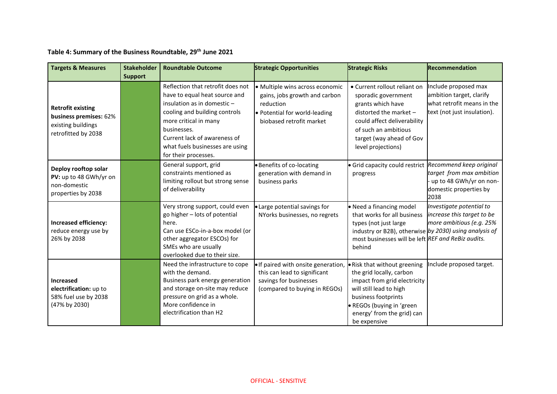**Table 4: Summary of the Business Roundtable, 29th June 2021**

| <b>Targets &amp; Measures</b>                                                                   | <b>Stakeholder</b><br><b>Support</b> | <b>Roundtable Outcome</b>                                                                                                                                                                                                                                             | <b>Strategic Opportunities</b>                                                                                                             | <b>Strategic Risks</b>                                                                                                                                                                                                | <b>Recommendation</b>                                                                                            |
|-------------------------------------------------------------------------------------------------|--------------------------------------|-----------------------------------------------------------------------------------------------------------------------------------------------------------------------------------------------------------------------------------------------------------------------|--------------------------------------------------------------------------------------------------------------------------------------------|-----------------------------------------------------------------------------------------------------------------------------------------------------------------------------------------------------------------------|------------------------------------------------------------------------------------------------------------------|
| <b>Retrofit existing</b><br>business premises: 62%<br>existing buildings<br>retrofitted by 2038 |                                      | Reflection that retrofit does not<br>have to equal heat source and<br>insulation as in domestic -<br>cooling and building controls<br>more critical in many<br>businesses.<br>Current lack of awareness of<br>what fuels businesses are using<br>for their processes. | · Multiple wins across economic<br>gains, jobs growth and carbon<br>reduction<br>. Potential for world-leading<br>biobased retrofit market | • Current rollout reliant on<br>sporadic government<br>grants which have<br>distorted the market $-$<br>could affect deliverability<br>of such an ambitious<br>target (way ahead of Gov<br>level projections)         | Include proposed max<br>ambition target, clarify<br>what retrofit means in the<br>text (not just insulation).    |
| Deploy rooftop solar<br>PV: up to 48 GWh/yr on<br>non-domestic<br>properties by 2038            |                                      | General support, grid<br>constraints mentioned as<br>limiting rollout but strong sense<br>of deliverability                                                                                                                                                           | · Benefits of co-locating<br>generation with demand in<br>business parks                                                                   | · Grid capacity could restrict<br>progress                                                                                                                                                                            | Recommend keep original<br>target from max ambition<br>up to 48 GWh/yr on non-<br>domestic properties by<br>2038 |
| Increased efficiency:<br>reduce energy use by<br>26% by 2038                                    |                                      | Very strong support, could even<br>go higher - lots of potential<br>here.<br>Can use ESCo-in-a-box model (or<br>other aggregator ESCOs) for<br>SMEs who are usually<br>overlooked due to their size.                                                                  | • Large potential savings for<br>NYorks businesses, no regrets                                                                             | • Need a financing model<br>that works for all business<br>types (not just large<br>industry or B2B), otherwise by 2030) using analysis of<br>most businesses will be left REF and ReBiz audits.<br>behind            | Investigate potential to<br>increase this target to be<br>more ambitious (e.g. 25%                               |
| <b>Increased</b><br>electrification: up to<br>58% fuel use by 2038<br>(47% by 2030)             |                                      | Need the infrastructure to cope<br>with the demand.<br>Business park energy generation<br>and storage on-site may reduce<br>pressure on grid as a whole.<br>More confidence in<br>electrification than H2                                                             | . If paired with onsite generation,<br>this can lead to significant<br>savings for businesses<br>(compared to buying in REGOs)             | • Risk that without greening<br>the grid locally, carbon<br>impact from grid electricity<br>will still lead to high<br>business footprints<br>· REGOs (buying in 'green<br>energy' from the grid) can<br>be expensive | Include proposed target.                                                                                         |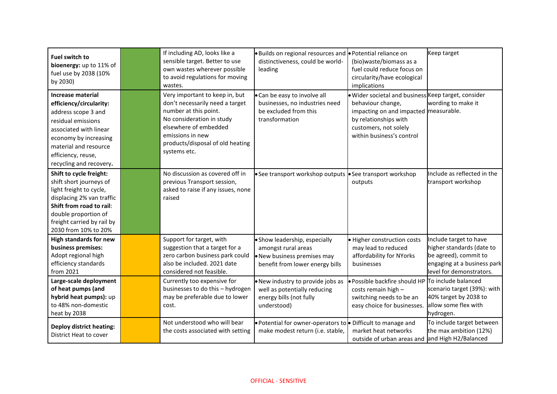| <b>Fuel switch to</b><br>bioenergy: up to 11% of<br>fuel use by 2038 (10%<br>by 2030)                                                                                                                                         | If including AD, looks like a<br>sensible target. Better to use<br>own wastes wherever possible<br>to avoid regulations for moving<br>wastes.                                                                            | . Builds on regional resources and <b>.</b> Potential reliance on<br>distinctiveness, could be world-<br>leading       | (bio)waste/biomass as a<br>fuel could reduce focus on<br>circularity/have ecological<br>implications                                                                                             | Keep target                                                                                                                             |
|-------------------------------------------------------------------------------------------------------------------------------------------------------------------------------------------------------------------------------|--------------------------------------------------------------------------------------------------------------------------------------------------------------------------------------------------------------------------|------------------------------------------------------------------------------------------------------------------------|--------------------------------------------------------------------------------------------------------------------------------------------------------------------------------------------------|-----------------------------------------------------------------------------------------------------------------------------------------|
| <b>Increase material</b><br>efficiency/circularity:<br>address scope 3 and<br>residual emissions<br>associated with linear<br>economy by increasing<br>material and resource<br>efficiency, reuse,<br>recycling and recovery. | Very important to keep in, but<br>don't necessarily need a target<br>number at this point.<br>No consideration in study<br>elsewhere of embedded<br>emissions in new<br>products/disposal of old heating<br>systems etc. | . Can be easy to involve all<br>businesses, no industries need<br>be excluded from this<br>transformation              | · Wider societal and business Keep target, consider<br>behaviour change,<br>impacting on and impacted measurable.<br>by relationships with<br>customers, not solely<br>within business's control | wording to make it                                                                                                                      |
| Shift to cycle freight:<br>shift short journeys of<br>light freight to cycle,<br>displacing 2% van traffic<br>Shift from road to rail:<br>double proportion of<br>freight carried by rail by<br>2030 from 10% to 20%          | No discussion as covered off in<br>previous Transport session,<br>asked to raise if any issues, none<br>raised                                                                                                           | See transport workshop outputs   See transport workshop                                                                | outputs                                                                                                                                                                                          | Include as reflected in the<br>transport workshop                                                                                       |
| <b>High standards for new</b><br>business premises:<br>Adopt regional high<br>efficiency standards<br>from 2021                                                                                                               | Support for target, with<br>suggestion that a target for a<br>zero carbon business park could<br>also be included. 2021 date<br>considered not feasible.                                                                 | · Show leadership, especially<br>amongst rural areas<br>· New business premises may<br>benefit from lower energy bills | · Higher construction costs<br>may lead to reduced<br>affordability for NYorks<br>businesses                                                                                                     | Include target to have<br>higher standards (date to<br>be agreed), commit to<br>engaging at a business park<br>level for demonstrators. |
| Large-scale deployment<br>of heat pumps (and<br>hybrid heat pumps): up<br>to 48% non-domestic<br>heat by 2038                                                                                                                 | Currently too expensive for<br>businesses to do this - hydrogen<br>may be preferable due to lower<br>cost.                                                                                                               | . New industry to provide jobs as<br>well as potentially reducing<br>energy bills (not fully<br>understood)            | · Possible backfire should HP To include balanced<br>costs remain high -<br>switching needs to be an<br>easy choice for businesses.                                                              | scenario target (39%): with<br>40% target by 2038 to<br>allow some flex with<br>hydrogen.                                               |
| <b>Deploy district heating:</b><br>District Heat to cover                                                                                                                                                                     | Not understood who will bear<br>the costs associated with setting                                                                                                                                                        | . Potential for owner-operators to $\bullet$ Difficult to manage and<br>make modest return (i.e. stable,               | market heat networks<br>outside of urban areas and                                                                                                                                               | To include target between<br>the max ambition (12%)<br>and High H2/Balanced                                                             |